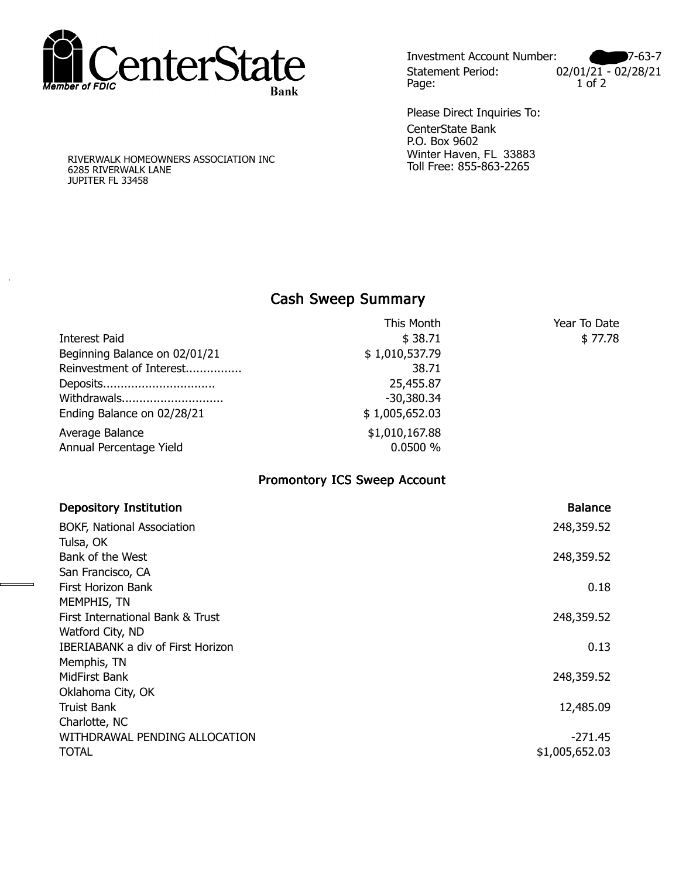

Investment Account Number: 2009-7-63-7 Statement Period: 02/01/21 - 02/28/21<br>Page: 1 of 2 Page:

CenterState Bank P.O. Box 9602 Winter Haven, FL 33883 Toll Free: 855-863-2265 Please Direct Inquiries To:

RIVERWALK HOMEOWNERS ASSOCIATION INC 6285 RIVERWALK LANE JUPITER FL 33458

.

## **Cash Sweep Summary Cash Sweep Summary**

|                               | This Month     | Year To Date |
|-------------------------------|----------------|--------------|
| Interest Paid                 | \$38.71        | \$77.78      |
| Beginning Balance on 02/01/21 | \$1,010,537.79 |              |
| Reinvestment of Interest      | 38.71          |              |
| Deposits                      | 25,455.87      |              |
| Withdrawals                   | $-30,380.34$   |              |
| Ending Balance on 02/28/21    | \$1,005,652.03 |              |
| Average Balance               | \$1,010,167.88 |              |
| Annual Percentage Yield       | 0.0500 %       |              |
|                               |                |              |

## **Promontory ICS Sweep Account**

| <b>Depository Institution</b>            | <b>Balance</b> |
|------------------------------------------|----------------|
| <b>BOKF, National Association</b>        | 248,359.52     |
| Tulsa, OK                                |                |
| Bank of the West                         | 248,359.52     |
| San Francisco, CA                        |                |
| First Horizon Bank                       | 0.18           |
| MEMPHIS, TN                              |                |
| First International Bank & Trust         | 248,359.52     |
| Watford City, ND                         |                |
| <b>IBERIABANK a div of First Horizon</b> | 0.13           |
| Memphis, TN                              |                |
| MidFirst Bank                            | 248,359.52     |
| Oklahoma City, OK                        |                |
| <b>Truist Bank</b>                       | 12,485.09      |
| Charlotte, NC                            |                |
| WITHDRAWAL PENDING ALLOCATION            | $-271.45$      |
| <b>TOTAL</b>                             | \$1,005,652.03 |